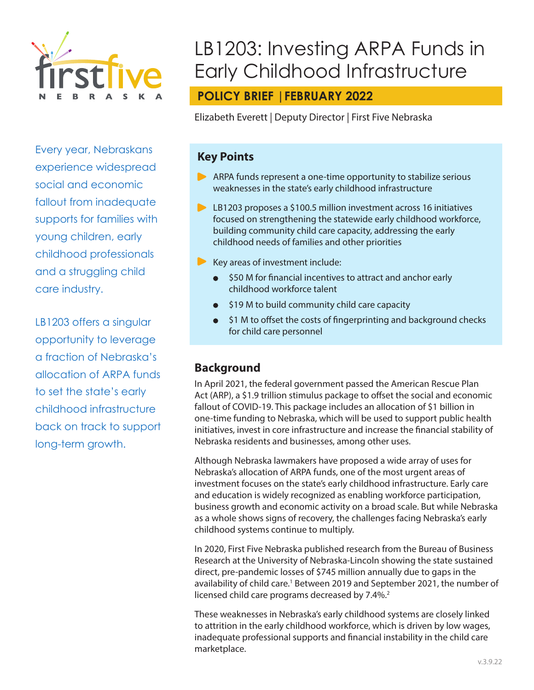

Every year, Nebraskans experience widespread social and economic fallout from inadequate supports for families with young children, early childhood professionals and a struggling child care industry.

LB1203 offers a singular opportunity to leverage a fraction of Nebraska's allocation of ARPA funds to set the state's early childhood infrastructure back on track to support long-term growth.

# LB1203: Investing ARPA Funds in Early Childhood Infrastructure

## **POLICY BRIEF |FEBRUARY 2022**

Elizabeth Everett | Deputy Director | First Five Nebraska

### **Key Points**

- ARPA funds represent a one-time opportunity to stabilize serious weaknesses in the state's early childhood infrastructure
- **EXT** LB1203 proposes a \$100.5 million investment across 16 initiatives focused on strengthening the statewide early childhood workforce, building community child care capacity, addressing the early childhood needs of families and other priorities
- $\blacktriangleright$  Key areas of investment include:
	- \$50 M for financial incentives to attract and anchor early childhood workforce talent
	- \$19 M to build community child care capacity
	- \$1 M to offset the costs of fingerprinting and background checks for child care personnel

### **Background**

In April 2021, the federal government passed the American Rescue Plan Act (ARP), a \$1.9 trillion stimulus package to offset the social and economic fallout of COVID-19. This package includes an allocation of \$1 billion in one-time funding to Nebraska, which will be used to support public health initiatives, invest in core infrastructure and increase the financial stability of Nebraska residents and businesses, among other uses.

Although Nebraska lawmakers have proposed a wide array of uses for Nebraska's allocation of ARPA funds, one of the most urgent areas of investment focuses on the state's early childhood infrastructure. Early care and education is widely recognized as enabling workforce participation, business growth and economic activity on a broad scale. But while Nebraska as a whole shows signs of recovery, the challenges facing Nebraska's early childhood systems continue to multiply.

In 2020, First Five Nebraska published research from the Bureau of Business Research at the University of Nebraska-Lincoln showing the state sustained direct, pre-pandemic losses of \$745 million annually due to gaps in the availability of child care.<sup>1</sup> Between 2019 and September 2021, the number of licensed child care programs decreased by  $7.4\%$ <sup>2</sup>

These weaknesses in Nebraska's early childhood systems are closely linked to attrition in the early childhood workforce, which is driven by low wages, inadequate professional supports and financial instability in the child care marketplace.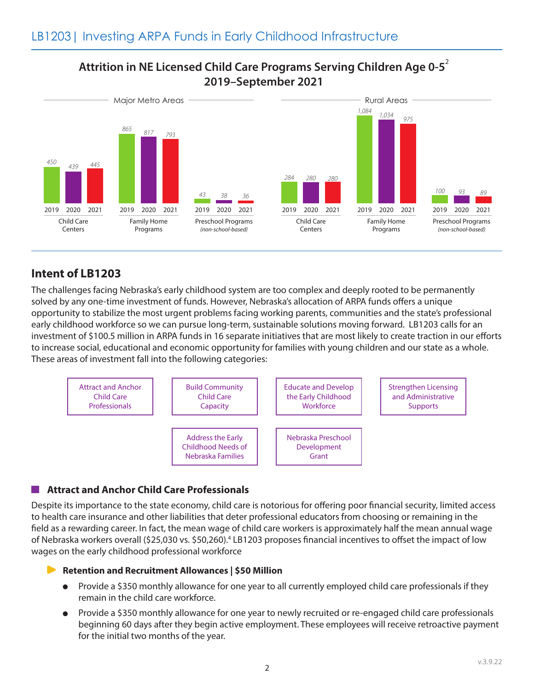### **Attrition in NE Licensed Child Care Programs Serving Children Age 0-5**<sup>2</sup> **2019–September 2021**



### **Intent of LB1203**

The challenges facing Nebraska's early childhood system are too complex and deeply rooted to be permanently solved by any one-time investment of funds. However, Nebraska's allocation of ARPA funds offers a unique opportunity to stabilize the most urgent problems facing working parents, communities and the state's professional early childhood workforce so we can pursue long-term, sustainable solutions moving forward. LB1203 calls for an investment of \$100.5 million in ARPA funds in 16 separate initiatives that are most likely to create traction in our efforts to increase social, educational and economic opportunity for families with young children and our state as a whole. These areas of investment fall into the following categories:



### **Attract and Anchor Child Care Professionals**

Despite its importance to the state economy, child care is notorious for offering poor financial security, limited access to health care insurance and other liabilities that deter professional educators from choosing or remaining in the field as a rewarding career. In fact, the mean wage of child care workers is approximately half the mean annual wage of Nebraska workers overall (\$25,030 vs. \$50,260).<sup>4</sup> LB1203 proposes financial incentives to offset the impact of low wages on the early childhood professional workforce

#### **Retention and Recruitment Allowances | \$50 Million**

- Provide a \$350 monthly allowance for one year to all currently employed child care professionals if they remain in the child care workforce.
- Provide a \$350 monthly allowance for one year to newly recruited or re-engaged child care professionals  $\bullet$ beginning 60 days after they begin active employment. These employees will receive retroactive payment for the initial two months of the year.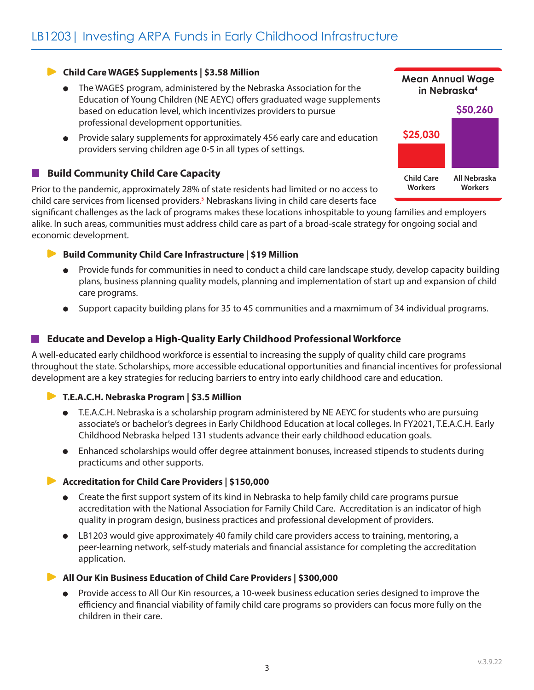#### **Child Care WAGE\$ Supplements | \$3.58 Million**

- The WAGE\$ program, administered by the Nebraska Association for the Education of Young Children (NE AEYC) offers graduated wage supplements based on education level, which incentivizes providers to pursue professional development opportunities.
- Provide salary supplements for approximately 456 early care and education providers serving children age 0-5 in all types of settings.

#### **Build Community Child Care Capacity The Contract of the Contract of the Contract of the Contract of the Contract of the Contract of the Contract o**

Prior to the pandemic, approximately 28% of state residents had limited or no access to child care services from licensed providers. 5 Nebraskans living in child care deserts face

significant challenges as the lack of programs makes these locations inhospitable to young families and employers alike. In such areas, communities must address child care as part of a broad-scale strategy for ongoing social and economic development.

#### **Build Community Child Care Infrastructure | \$19 Million**

- Provide funds for communities in need to conduct a child care landscape study, develop capacity building plans, business planning quality models, planning and implementation of start up and expansion of child care programs.
- Support capacity building plans for 35 to 45 communities and a maxmimum of 34 individual programs.

#### **Educate and Develop a High-Quality Early Childhood Professional Workforce**

A well-educated early childhood workforce is essential to increasing the supply of quality child care programs throughout the state. Scholarships, more accessible educational opportunities and financial incentives for professional development are a key strategies for reducing barriers to entry into early childhood care and education.

#### **T.E.A.C.H. Nebraska Program | \$3.5 Million**

- T.E.A.C.H. Nebraska is a scholarship program administered by NE AEYC for students who are pursuing associate's or bachelor's degrees in Early Childhood Education at local colleges. In FY2021, T.E.A.C.H. Early Childhood Nebraska helped 131 students advance their early childhood education goals.
- Enhanced scholarships would offer degree attainment bonuses, increased stipends to students during practicums and other supports.

#### **Accreditation for Child Care Providers | \$150,000**

- Create the first support system of its kind in Nebraska to help family child care programs pursue accreditation with the National Association for Family Child Care. Accreditation is an indicator of high quality in program design, business practices and professional development of providers.
- LB1203 would give approximately 40 family child care providers access to training, mentoring, a peer-learning network, self-study materials and financial assistance for completing the accreditation application.

#### **All Our Kin Business Education of Child Care Providers | \$300,000**

Provide access to All Our Kin resources, a 10-week business education series designed to improve the efficiency and financial viability of family child care programs so providers can focus more fully on the children in their care.



**Mean Annual Wage**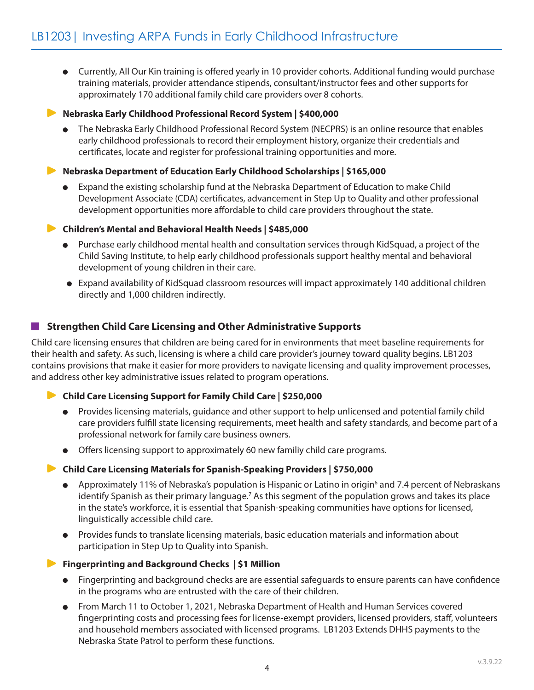Currently, All Our Kin training is offered yearly in 10 provider cohorts. Additional funding would purchase training materials, provider attendance stipends, consultant/instructor fees and other supports for approximately 170 additional family child care providers over 8 cohorts.

**Nebraska Early Childhood Professional Record System | \$400,000**

The Nebraska Early Childhood Professional Record System (NECPRS) is an online resource that enables early childhood professionals to record their employment history, organize their credentials and certificates, locate and register for professional training opportunities and more.

#### **Nebraska Department of Education Early Childhood Scholarships | \$165,000**

- Expand the existing scholarship fund at the Nebraska Department of Education to make Child Development Associate (CDA) certificates, advancement in Step Up to Quality and other professional development opportunities more affordable to child care providers throughout the state.
- **Children's Mental and Behavioral Health Needs | \$485,000**
	- Purchase early childhood mental health and consultation services through KidSquad, a project of the Child Saving Institute, to help early childhood professionals support healthy mental and behavioral development of young children in their care.
	- Expand availability of KidSquad classroom resources will impact approximately 140 additional children directly and 1,000 children indirectly.

#### **Strengthen Child Care Licensing and Other Administrative Supports**

Child care licensing ensures that children are being cared for in environments that meet baseline requirements for their health and safety. As such, licensing is where a child care provider's journey toward quality begins. LB1203 contains provisions that make it easier for more providers to navigate licensing and quality improvement processes, and address other key administrative issues related to program operations.

#### **Child Care Licensing Support for Family Child Care | \$250,000**

- Provides licensing materials, guidance and other support to help unlicensed and potential family child care providers fulfill state licensing requirements, meet health and safety standards, and become part of a professional network for family care business owners.
- Offers licensing support to approximately 60 new familiy child care programs.

#### **Child Care Licensing Materials for Spanish-Speaking Providers | \$750,000**

- Approximately 11% of Nebraska's population is Hispanic or Latino in origin<sup>6</sup> and 7.4 percent of Nebraskans identify Spanish as their primary language.<sup>7</sup> As this segment of the population grows and takes its place in the state's workforce, it is essential that Spanish-speaking communities have options for licensed, linguistically accessible child care.
- Provides funds to translate licensing materials, basic education materials and information about participation in Step Up to Quality into Spanish.
- **Fingerprinting and Background Checks | \$1 Million**
	- Fingerprinting and background checks are are essential safeguards to ensure parents can have confidence in the programs who are entrusted with the care of their children.
	- From March 11 to October 1, 2021, Nebraska Department of Health and Human Services covered fingerprinting costs and processing fees for license-exempt providers, licensed providers, staff, volunteers and household members associated with licensed programs. LB1203 Extends DHHS payments to the Nebraska State Patrol to perform these functions.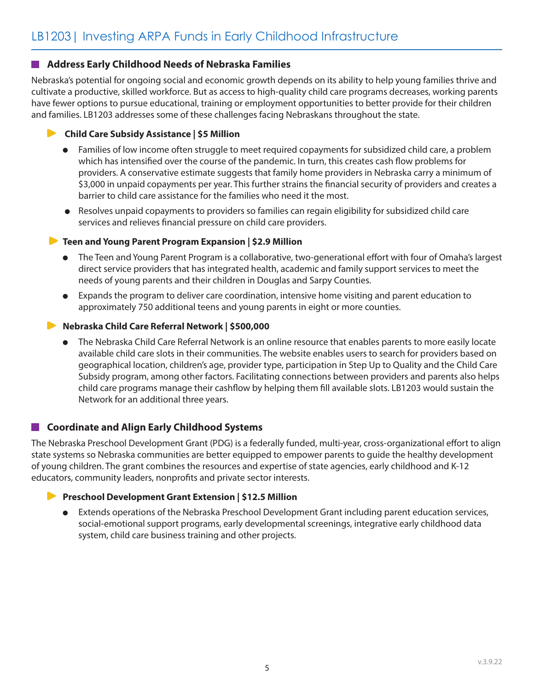#### **Address Early Childhood Needs of Nebraska Families**

Nebraska's potential for ongoing social and economic growth depends on its ability to help young families thrive and cultivate a productive, skilled workforce. But as access to high-quality child care programs decreases, working parents have fewer options to pursue educational, training or employment opportunities to better provide for their children and families. LB1203 addresses some of these challenges facing Nebraskans throughout the state.

#### **• Child Care Subsidy Assistance | \$5 Million**

- Families of low income often struggle to meet required copayments for subsidized child care, a problem which has intensified over the course of the pandemic. In turn, this creates cash flow problems for providers. A conservative estimate suggests that family home providers in Nebraska carry a minimum of \$3,000 in unpaid copayments per year. This further strains the financial security of providers and creates a barrier to child care assistance for the families who need it the most.
- Resolves unpaid copayments to providers so families can regain eligibility for subsidized child care services and relieves financial pressure on child care providers.

#### **Teen and Young Parent Program Expansion | \$2.9 Million**

- The Teen and Young Parent Program is a collaborative, two-generational effort with four of Omaha's largest  $\bullet$ direct service providers that has integrated health, academic and family support services to meet the needs of young parents and their children in Douglas and Sarpy Counties.
- Expands the program to deliver care coordination, intensive home visiting and parent education to approximately 750 additional teens and young parents in eight or more counties.

#### **Nebraska Child Care Referral Network | \$500,000**

The Nebraska Child Care Referral Network is an online resource that enables parents to more easily locate available child care slots in their communities. The website enables users to search for providers based on geographical location, children's age, provider type, participation in Step Up to Quality and the Child Care Subsidy program, among other factors. Facilitating connections between providers and parents also helps child care programs manage their cashflow by helping them fill available slots. LB1203 would sustain the Network for an additional three years.

#### **Coordinate and Align Early Childhood Systems**

The Nebraska Preschool Development Grant (PDG) is a federally funded, multi-year, cross-organizational effort to align state systems so Nebraska communities are better equipped to empower parents to guide the healthy development of young children. The grant combines the resources and expertise of state agencies, early childhood and K-12 educators, community leaders, nonprofits and private sector interests.

#### **Preschool Development Grant Extension | \$12.5 Million**

Extends operations of the Nebraska Preschool Development Grant including parent education services, social-emotional support programs, early developmental screenings, integrative early childhood data system, child care business training and other projects.